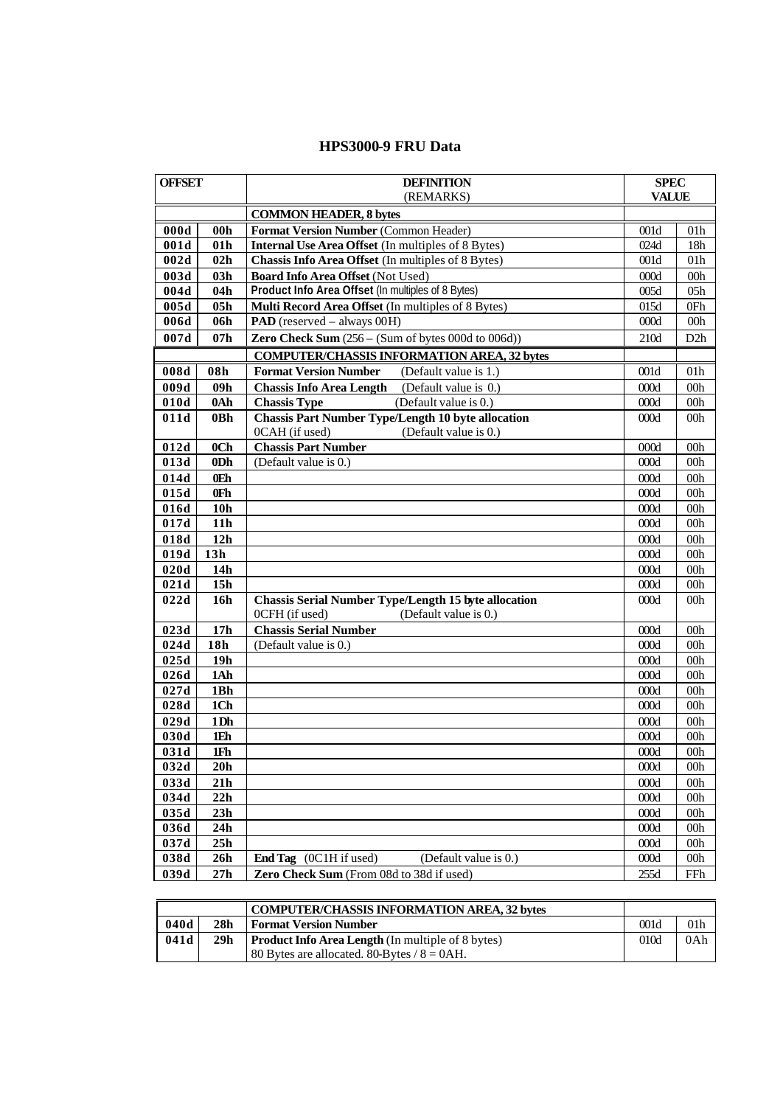## **HPS3000-9 FRU Data**

| <b>OFFSET</b> |                 | <b>DEFINITION</b>                                                                                      | <b>SPEC</b>  |                 |
|---------------|-----------------|--------------------------------------------------------------------------------------------------------|--------------|-----------------|
|               |                 | (REMARKS)                                                                                              | <b>VALUE</b> |                 |
|               |                 | <b>COMMON HEADER, 8 bytes</b>                                                                          |              |                 |
| 000d          | 00 <sub>h</sub> | Format Version Number (Common Header)                                                                  | 001d         | 01 <sub>h</sub> |
| 001d          | 01 <sub>h</sub> | <b>Internal Use Area Offset</b> (In multiples of 8 Bytes)                                              | 024d         | 18h             |
| 002d          | 02h             | Chassis Info Area Offset (In multiples of 8 Bytes)                                                     | 001d         | 01h             |
| 003d          | 03h             | Board Info Area Offset (Not Used)                                                                      | 000d         | 00h             |
| 004d          | 04h             | Product Info Area Offset (In multiples of 8 Bytes)                                                     | 005d         | 05h             |
| 005d          | 05h             | Multi Record Area Offset (In multiples of 8 Bytes)                                                     | 015d         | 0Fh             |
| 006d          | 06h             | <b>PAD</b> (reserved – always 00H)                                                                     | 000d         | 00h             |
| 007d          | 07 <sub>h</sub> | Zero Check Sum $(256 - (Sum of bytes 000d to 006d))$                                                   | 210d         | D2h             |
|               |                 | <b>COMPUTER/CHASSIS INFORMATION AREA, 32 bytes</b>                                                     |              |                 |
| 008d          | 08h             | <b>Format Version Number</b><br>(Default value is 1.)                                                  | 001d         | 01 <sub>h</sub> |
| 009d          | 09h             | <b>Chassis Info Area Length</b><br>(Default value is 0.)                                               | 000d         | 00 <sub>h</sub> |
| 010d          | 0Ah             | (Default value is 0.)<br><b>Chassis Type</b>                                                           | 000d         | 00h             |
| 011d          | 0Bh             | <b>Chassis Part Number Type/Length 10 byte allocation</b>                                              | 000d         | 00h             |
|               |                 | 0CAH (if used)<br>(Default value is 0.)                                                                |              |                 |
| 012d          | 0 <sub>Ch</sub> | <b>Chassis Part Number</b>                                                                             | 000d         | 00 <sub>h</sub> |
| 013d          | 0D <sub>h</sub> | (Default value is 0.)                                                                                  | 000d         | 00 <sub>h</sub> |
| 014d          | 0Eh             |                                                                                                        | 000d         | 00 <sub>h</sub> |
| 015d          | 0Fh             |                                                                                                        | 000d         | 00 <sub>h</sub> |
| 016d          | 10 <sub>h</sub> |                                                                                                        | 000d         | 00 <sub>h</sub> |
| 017d          | 11 <sub>h</sub> |                                                                                                        | 000d         | 00 <sub>h</sub> |
| 018d          | 12h             |                                                                                                        | 000d         | 00 <sub>h</sub> |
| 019d          | 13h             |                                                                                                        | 000d         | 00 <sub>h</sub> |
| 020d          | 14h             |                                                                                                        | 000d         | 00 <sub>h</sub> |
| 021d          | 15h             |                                                                                                        | 000d         | 00 <sub>h</sub> |
| 022d          | 16h             | <b>Chassis Serial Number Type/Length 15 byte allocation</b><br>0CFH (if used)<br>(Default value is 0.) | 000d         | 00 <sub>h</sub> |
| 023d          | 17 <sub>h</sub> | <b>Chassis Serial Number</b>                                                                           | 000d         | 00 <sub>h</sub> |
| 024d          | 18h             | (Default value is 0.)                                                                                  | 000d         | 00 <sub>h</sub> |
| 025d          | 19 <sub>h</sub> |                                                                                                        | 000d         | 00 <sub>h</sub> |
| 026d          | 1Ah             |                                                                                                        | 000d         | 00 <sub>h</sub> |
| 027d          | 1Bh             |                                                                                                        | 000d         | 00h             |
| 028d          | 1Ch             |                                                                                                        | 000d         | 00h             |
| 029d          | 1Dh             |                                                                                                        | 000d         | 00h             |
| 030d          | 1Eh             |                                                                                                        | 000d         | 00 <sub>h</sub> |
| 031d          | 1Fh             |                                                                                                        | 000d         | 00 <sub>h</sub> |
| 032d          | 20h             |                                                                                                        | 000d         | 00 <sub>h</sub> |
| 033d          | 21h             |                                                                                                        | 000d         | 00 <sub>h</sub> |
| 034d          | 22h             |                                                                                                        | 000d         | 00 <sub>h</sub> |
| 035d          | 23h             |                                                                                                        | 000d         | 00 <sub>h</sub> |
| 036d          | 24h             |                                                                                                        | 000d         | 00 <sub>h</sub> |
| 037d          | 25h             |                                                                                                        | 000d         | 00 <sub>h</sub> |
| 038d          | 26h             | End Tag (0C1H if used)<br>(Default value is 0.)                                                        | 000d         | 00 <sub>h</sub> |
| 039d          | 27h             | Zero Check Sum (From 08d to 38d if used)                                                               | 255d         | FFh             |

|      | <b>COMPUTER/CHASSIS INFORMATION AREA, 32 bytes</b> |                                                          |      |                 |
|------|----------------------------------------------------|----------------------------------------------------------|------|-----------------|
| 040d | 28h                                                | <b>Format Version Number</b>                             | 001d | 01 <sub>h</sub> |
| 041d | 29h                                                | <b>Product Info Area Length</b> (In multiple of 8 bytes) | 010d | 0Ah             |
|      |                                                    | 80 Bytes are allocated. 80-Bytes / $8 = 0AH$ .           |      |                 |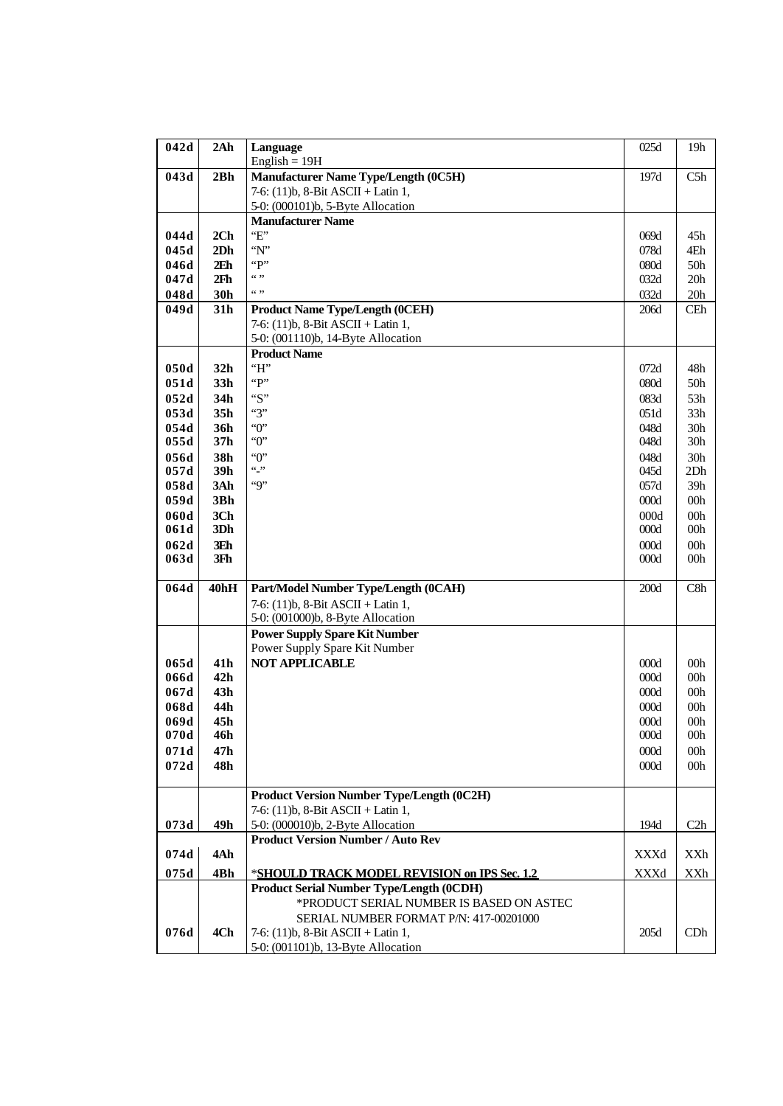| 042d         | 2Ah                                | Language                                         | 025d            | 19h             |
|--------------|------------------------------------|--------------------------------------------------|-----------------|-----------------|
|              |                                    | English = $19H$                                  |                 |                 |
| 043d         | 2Bh                                | <b>Manufacturer Name Type/Length (0C5H)</b>      | 197d            | C5h             |
|              |                                    | 7-6: (11)b, 8-Bit ASCII + Latin 1,               |                 |                 |
|              |                                    | 5-0: (000101)b, 5-Byte Allocation                |                 |                 |
|              |                                    | <b>Manufacturer Name</b><br>E                    |                 |                 |
| 044d<br>045d | 2Ch                                | "N"                                              | 069d            | 45h             |
| 046d         | 2D <sub>h</sub><br>2E <sub>h</sub> | "P"                                              | 078d<br>080d    | 4Eh<br>50h      |
| 047d         | 2Fh                                | (4, 9)                                           | 032d            | 20h             |
| 048d         | 30h                                | (0, 9)                                           | 032d            | 20 <sub>h</sub> |
| 049d         | 31h                                | <b>Product Name Type/Length (0CEH)</b>           | 206d            | <b>CEh</b>      |
|              |                                    | 7-6: (11)b, 8-Bit ASCII + Latin 1,               |                 |                 |
|              |                                    | 5-0: (001110)b, 14-Byte Allocation               |                 |                 |
|              |                                    | <b>Product Name</b>                              |                 |                 |
| 050d         | 32 <sub>h</sub>                    | H                                                | 072d            | 48h             |
| 051d         | 33 <sub>h</sub>                    | "P"                                              | 080d            | 50h             |
| 052d         | 34h                                | ``S"                                             | 083d            | 53h             |
| 053d         | 35 <sub>h</sub>                    | $\lq\lq\lq\lq$                                   | 051d            | 33h             |
| 054d         | 36h                                | $\lq\lq 0$                                       | 048d            | 30 <sub>h</sub> |
| 055d         | 37h                                | $\lq\lq 0$                                       | 048d            | 30 <sub>h</sub> |
| 056d         | 38h                                | $\lq\lq 0$                                       | 048d            | 30h             |
| 057d         | 39h                                | $\cdots$                                         | 045d            | 2Dh             |
| 058d         | 3Ah                                | Q                                                | 057d            | 39h             |
| 059d         | 3Bh                                |                                                  | 000d            | 00h             |
| 060d         | 3Ch                                |                                                  | 000d            | 00h             |
| 061d         | 3Dh                                |                                                  | 000d            | 00h             |
| 062d         | 3Eh                                |                                                  | 000d            | 00h             |
| 063d         | 3Fh                                |                                                  | 000d            | 00 <sub>h</sub> |
| 064d         | 40hH                               | Part/Model Number Type/Length (0CAH)             | $200\mathrm{d}$ | C8h             |
|              |                                    | 7-6: (11)b, 8-Bit ASCII + Latin 1,               |                 |                 |
|              |                                    | 5-0: (001000)b, 8-Byte Allocation                |                 |                 |
|              |                                    | <b>Power Supply Spare Kit Number</b>             |                 |                 |
|              |                                    | Power Supply Spare Kit Number                    |                 |                 |
| 065d         | 41 <sub>h</sub>                    | <b>NOT APPLICABLE</b>                            | 000d            | 00 <sub>h</sub> |
| 066d         | 42h                                |                                                  | 000d            | 00h             |
| 067d         | 43h                                |                                                  | 000d            | 00h             |
| 068d         | 44h                                |                                                  | 000d            | 00h             |
| 069d         | 45h                                |                                                  | 000d            | 00h             |
| 070d         | 46h                                |                                                  | 000d            | 00h             |
| 071d<br>072d | 47h<br>48h                         |                                                  | 000d<br>000d    | 00h<br>00h      |
|              |                                    |                                                  |                 |                 |
|              |                                    | <b>Product Version Number Type/Length (0C2H)</b> |                 |                 |
|              |                                    | 7-6: (11)b, 8-Bit ASCII + Latin 1,               |                 |                 |
| 073d         | 49h                                | 5-0: (000010)b, 2-Byte Allocation                | 194d            | C2h             |
|              |                                    | <b>Product Version Number / Auto Rev</b>         |                 |                 |
| 074d         | 4Ah                                |                                                  | XXXd            | XXh             |
| 075d         | 4Bh                                | *SHOULD TRACK MODEL REVISION on IPS Sec. 1.2     | XXXd            | XXh             |
|              |                                    | <b>Product Serial Number Type/Length (0CDH)</b>  |                 |                 |
|              |                                    | *PRODUCT SERIAL NUMBER IS BASED ON ASTEC         |                 |                 |
|              |                                    | SERIAL NUMBER FORMAT P/N: 417-00201000           |                 |                 |
| 076d         | 4Ch                                | 7-6: $(11)$ b, 8-Bit ASCII + Latin 1,            | 205d            | CDh             |
|              |                                    | 5-0: (001101)b, 13-Byte Allocation               |                 |                 |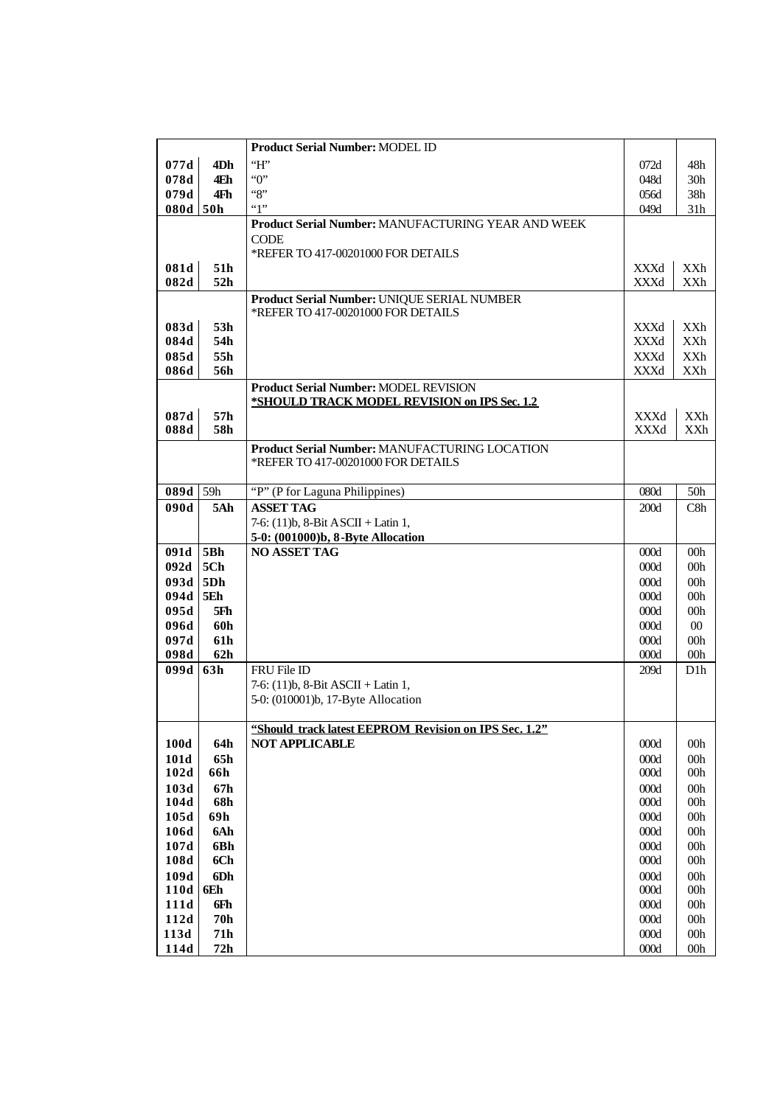|              |            | <b>Product Serial Number: MODEL ID</b>                                            |              |                                     |
|--------------|------------|-----------------------------------------------------------------------------------|--------------|-------------------------------------|
| 077d         | 4Dh        | H                                                                                 | 072d         | 48h                                 |
| 078d         | 4Eh        | $\lq\lq 0$                                                                        | 048d         | 30h                                 |
| 079d         | 4Fh        | ``8"                                                                              | 056d         | 38h                                 |
| 080d 50h     |            | "1"                                                                               | 049d         | 31h                                 |
|              |            | Product Serial Number: MANUFACTURING YEAR AND WEEK                                |              |                                     |
|              |            | <b>CODE</b>                                                                       |              |                                     |
|              |            | *REFER TO 417-00201000 FOR DETAILS                                                |              |                                     |
| 081d         | 51h        |                                                                                   | XXXd         | XXh                                 |
| 082d         | 52h        |                                                                                   | XXXd         | XXh                                 |
|              |            | Product Serial Number: UNIQUE SERIAL NUMBER<br>*REFER TO 417-00201000 FOR DETAILS |              |                                     |
| 083d         | 53h        |                                                                                   | XXXd         | XXh                                 |
| 084d         | 54h        |                                                                                   | XXXd         | XXh                                 |
| 085d         | 55h        |                                                                                   | XXXd         | XXh                                 |
| 086d         | 56h        |                                                                                   | XXXd         | XXh                                 |
|              |            | Product Serial Number: MODEL REVISION                                             |              |                                     |
|              |            | *SHOULD TRACK MODEL REVISION on IPS Sec. 1.2                                      |              |                                     |
| 087d         | 57h        |                                                                                   | XXXd         | XXh                                 |
| 088d         | 58h        |                                                                                   | XXXd         | <b>XXh</b>                          |
|              |            | Product Serial Number: MANUFACTURING LOCATION                                     |              |                                     |
|              |            | *REFER TO 417-00201000 FOR DETAILS                                                |              |                                     |
| 089d 59h     |            | "P" (P for Laguna Philippines)                                                    |              |                                     |
| 090d         | 5Ah        | <b>ASSET TAG</b>                                                                  | 080d<br>200d | 50h<br>C8h                          |
|              |            | 7-6: (11)b, 8-Bit ASCII + Latin 1,                                                |              |                                     |
|              |            | 5-0: (001000)b, 8-Byte Allocation                                                 |              |                                     |
| 091d 5Bh     |            | <b>NO ASSET TAG</b>                                                               | 000d         | 00h                                 |
| 092d         | 5Ch        |                                                                                   | 000d         | 00h                                 |
| $093d$ 5Dh   |            |                                                                                   | 000d         | 00h                                 |
| $094d$ 5Eh   |            |                                                                                   | 000d         | 00h                                 |
| 095d         | 5Fh        |                                                                                   | 000d         | 00h                                 |
| 096d         | 60h        |                                                                                   | 000d         | $00\,$                              |
| 097d         | <b>61h</b> |                                                                                   | 000d         | 00h                                 |
| 098d<br>099d | 62h<br>63h | FRU File ID                                                                       | 000d<br>209d | 00 <sub>h</sub><br>D <sub>1</sub> h |
|              |            | 7-6: $(11)b$ , 8-Bit ASCII + Latin 1,                                             |              |                                     |
|              |            | 5-0: (010001)b, 17-Byte Allocation                                                |              |                                     |
|              |            |                                                                                   |              |                                     |
|              |            | "Should track latest EEPROM Revision on IPS Sec. 1.2"                             |              |                                     |
| 100d         | 64h        | <b>NOT APPLICABLE</b>                                                             | 000d         | 00 <sub>h</sub>                     |
| 101d         | 65h        |                                                                                   | 000d         | 00 <sub>h</sub>                     |
| 102d         | 66h        |                                                                                   | 000d         | 00 <sub>h</sub>                     |
| 103d         | 67h        |                                                                                   | 000d         | 00 <sub>h</sub>                     |
| 104d         | 68h        |                                                                                   | 000d         | 00h                                 |
| 105d         | 69h        |                                                                                   | 000d         | 00h                                 |
| 106d<br>107d | 6Ah<br>6Bh |                                                                                   | 000d<br>000d | 00h<br>00h                          |
| 108d         | 6Ch        |                                                                                   | 000d         | 00 <sub>h</sub>                     |
| 109d         | 6Dh        |                                                                                   | 000d         | 00h                                 |
| 110d         | 6Eh        |                                                                                   | 000d         | 00h                                 |
| 111d         | 6Fh        |                                                                                   | 000d         | 00h                                 |
| 112d         | <b>70h</b> |                                                                                   | 000d         | 00h                                 |
| 113d         | 71h        |                                                                                   | $000d$       | 00h                                 |
| 114d         | 72h        |                                                                                   | 000d         | 00 <sub>h</sub>                     |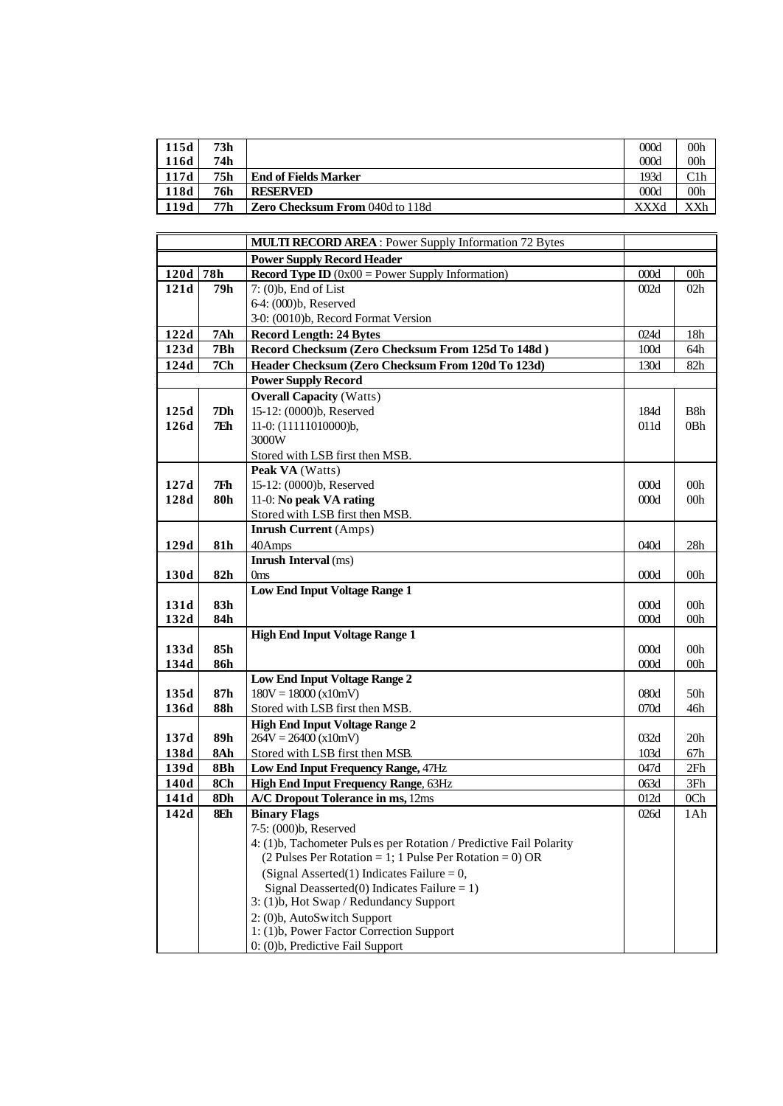| 115d | 73h |                                        | 000d | 00h |
|------|-----|----------------------------------------|------|-----|
| 116d | 74h |                                        | 000d | 00h |
| 117d | 75h | <b>End of Fields Marker</b>            | 193d |     |
| 118d | 76h | <b>RESERVED</b>                        | 000d | 00h |
| 119d | 77h | <b>Zero Checksum From 040d to 118d</b> | XXXd |     |

|      |            | <b>MULTI RECORD AREA:</b> Power Supply Information 72 Bytes                         |              |                        |
|------|------------|-------------------------------------------------------------------------------------|--------------|------------------------|
|      |            | <b>Power Supply Record Header</b>                                                   |              |                        |
| 120d | 78h        | <b>Record Type ID</b> ( $0x00$ = Power Supply Information)                          | 000d         | 00 <sub>h</sub>        |
| 121d | 79h        | $7: (0)$ <sub>b</sub> , End of List                                                 | 002d         | 02h                    |
|      |            | 6-4: (000)b, Reserved                                                               |              |                        |
|      |            | 3-0: (0010)b, Record Format Version                                                 |              |                        |
| 122d | 7Ah        | <b>Record Length: 24 Bytes</b>                                                      | 024d         | 18 <sub>h</sub>        |
| 123d | 7Bh        | Record Checksum (Zero Checksum From 125d To 148d)                                   | 100d         | 64h                    |
| 124d | 7Ch        | Header Checksum (Zero Checksum From 120d To 123d)                                   | 130d         | 82h                    |
|      |            | <b>Power Supply Record</b>                                                          |              |                        |
|      |            | <b>Overall Capacity (Watts)</b>                                                     |              |                        |
| 125d | 7Dh        | 15-12: (0000)b, Reserved                                                            | 184d         | B <sub>8</sub> h       |
| 126d | 7Eh        | 11-0: (11111010000)b,                                                               | 011d         | 0Bh                    |
|      |            | 3000W                                                                               |              |                        |
|      |            | Stored with LSB first then MSB.                                                     |              |                        |
|      |            | Peak VA (Watts)                                                                     |              |                        |
| 127d | 7Fh        | 15-12: (0000)b, Reserved                                                            | 000d         | 00 <sub>h</sub>        |
| 128d | 80h        | 11-0: No peak VA rating                                                             | 000d         | 00 <sub>h</sub>        |
|      |            | Stored with LSB first then MSB.                                                     |              |                        |
|      |            | <b>Inrush Current</b> (Amps)                                                        |              |                        |
| 129d | 81h        | 40Amps                                                                              | 040d         | 28h                    |
|      |            | Inrush Interval (ms)                                                                |              |                        |
| 130d | 82h        | 0 <sub>ms</sub>                                                                     | 000d         | 00 <sub>h</sub>        |
|      |            | <b>Low End Input Voltage Range 1</b>                                                |              |                        |
| 131d | 83h        |                                                                                     | 000d         | 00 <sub>h</sub>        |
| 132d | 84h        |                                                                                     | 000d         | 00h                    |
|      |            | <b>High End Input Voltage Range 1</b>                                               |              |                        |
| 133d | 85h<br>86h |                                                                                     | 000d<br>000d | 00 <sub>h</sub><br>00h |
| 134d |            | Low End Input Voltage Range 2                                                       |              |                        |
| 135d | 87h        | $180V = 18000 (x10mV)$                                                              | 080d         | 50 <sub>h</sub>        |
| 136d | 88h        | Stored with LSB first then MSB.                                                     | 070d         | 46h                    |
|      |            | <b>High End Input Voltage Range 2</b>                                               |              |                        |
| 137d | 89h        | $264V = 26400 (x10mV)$                                                              | 032d         | 20 <sub>h</sub>        |
| 138d | 8Ah        | Stored with LSB first then MSB.                                                     | 103d         | 67h                    |
| 139d | 8Bh        | Low End Input Frequency Range, 47Hz                                                 | 047d         | 2Fh                    |
| 140d | 8Ch        | <b>High End Input Frequency Range, 63Hz</b>                                         | 063d         | 3Fh                    |
| 141d | 8Dh        | A/C Dropout Tolerance in ms, 12ms                                                   | 012d         | 0Ch                    |
| 142d | 8Eh        | <b>Binary Flags</b>                                                                 | 026d         | 1 A h                  |
|      |            | 7-5: (000)b, Reserved                                                               |              |                        |
|      |            | 4: (1)b, Tachometer Puls es per Rotation / Predictive Fail Polarity                 |              |                        |
|      |            | $(2 \text{ Pulses Per Rotation} = 1; 1 \text{ Pulse Per Rotation} = 0) \text{ OR }$ |              |                        |
|      |            | (Signal Asserted(1) Indicates Failure = $0$ ,                                       |              |                        |
|      |            | Signal Deasserted $(0)$ Indicates Failure = 1)                                      |              |                        |
|      |            | 3: (1)b, Hot Swap / Redundancy Support                                              |              |                        |
|      |            | 2: (0)b, AutoSwitch Support                                                         |              |                        |
|      |            | 1: (1)b, Power Factor Correction Support                                            |              |                        |
|      |            | 0: (0)b, Predictive Fail Support                                                    |              |                        |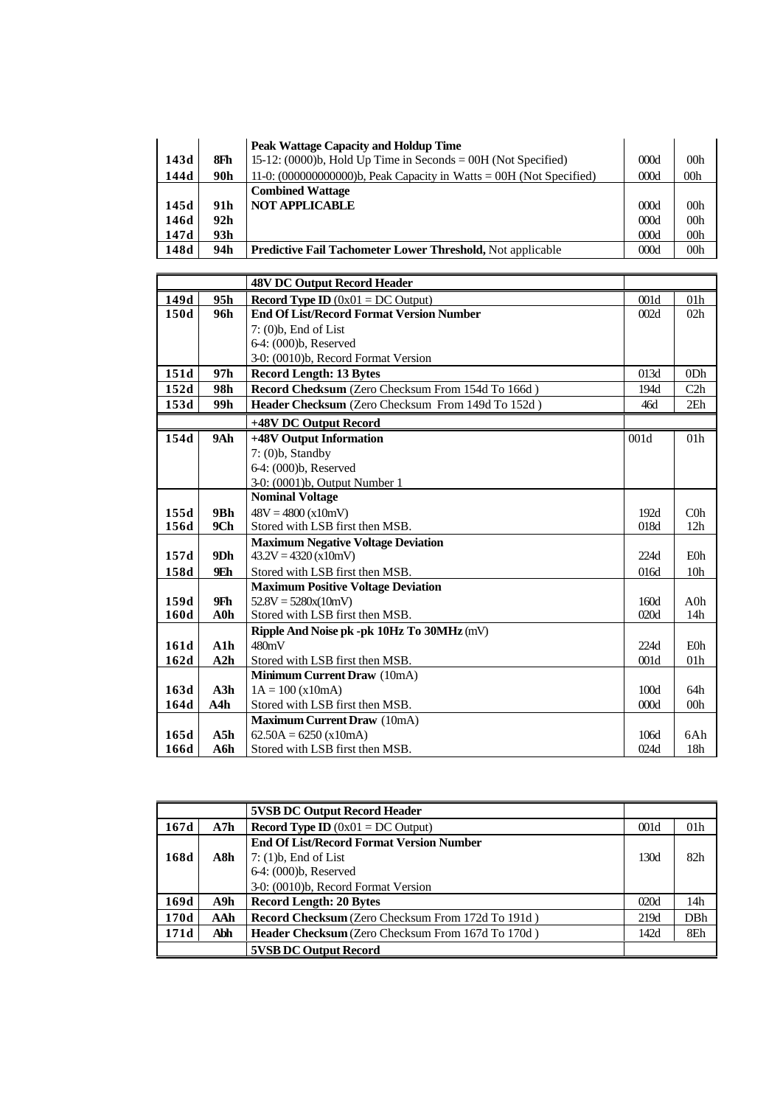|      |      | <b>Peak Wattage Capacity and Holdup Time</b>                         |      |                 |
|------|------|----------------------------------------------------------------------|------|-----------------|
| 143d | 8Fh  | 15-12: $(0000)b$ , Hold Up Time in Seconds = 00H (Not Specified)     | 000d | 00 <sub>h</sub> |
| 144d | 90h  | 11-0: $(00000000000)$ , Peak Capacity in Watts = 00H (Not Specified) | 000d | 00h             |
|      |      | <b>Combined Wattage</b>                                              |      |                 |
| 145d | 91 h | <b>NOT APPLICABLE</b>                                                | 000d | 00 <sub>h</sub> |
| 146d | 92h  |                                                                      | 000d | 00 <sub>h</sub> |
| 147d | 93h  |                                                                      | 000d | 00h             |
| 148d | 94h  | <b>Predictive Fail Tachometer Lower Threshold, Not applicable</b>    | 000d | 00 <sub>h</sub> |

|      |        | <b>48V DC Output Record Header</b>                |      |                 |
|------|--------|---------------------------------------------------|------|-----------------|
| 149d | 95h    | <b>Record Type ID</b> $(0x01 = DC$ Output)        | 001d | 01 <sub>h</sub> |
| 150d | 96h    | <b>End Of List/Record Format Version Number</b>   | 002d | 02h             |
|      |        | $7: (0)$ <sub>b</sub> , End of List               |      |                 |
|      |        | 6-4: (000)b, Reserved                             |      |                 |
|      |        | 3-0: (0010)b, Record Format Version               |      |                 |
| 151d | 97h    | <b>Record Length: 13 Bytes</b>                    | 013d | 0 <sub>Dh</sub> |
| 152d | 98h    | Record Checksum (Zero Checksum From 154d To 166d) | 194d | C2h             |
| 153d | 99h    | Header Checksum (Zero Checksum From 149d To 152d) | 46d  | 2E <sub>h</sub> |
|      |        | +48V DC Output Record                             |      |                 |
| 154d | 9Ah    | +48V Output Information                           | 001d | 01 <sub>h</sub> |
|      |        | $7: (0)b$ , Standby                               |      |                 |
|      |        | 6-4: (000)b, Reserved                             |      |                 |
|      |        | 3-0: (0001)b, Output Number 1                     |      |                 |
|      |        | <b>Nominal Voltage</b>                            |      |                 |
| 155d | 9Bh    | $48V = 4800 (x10mV)$                              | 192d | $C0$ h          |
| 156d | 9Ch    | Stored with LSB first then MSB.                   | 018d | 12h             |
|      |        | <b>Maximum Negative Voltage Deviation</b>         |      |                 |
| 157d | 9Dh    | $43.2V = 4320$ (x10mV)                            | 224d | <b>E0h</b>      |
| 158d | 9Eh    | Stored with LSB first then MSB.                   | 016d | 10 <sub>h</sub> |
|      |        | <b>Maximum Positive Voltage Deviation</b>         |      |                 |
| 159d | 9Fh    | $52.8V = 5280x(10mV)$                             | 160d | $A0$ h          |
| 160d | $A0$ h | Stored with LSB first then MSB.                   | 020d | 14h             |
|      |        | Ripple And Noise pk -pk 10Hz To 30MHz (mV)        |      |                 |
| 161d | A1h    | 480mV                                             | 224d | <b>E0h</b>      |
| 162d | A2h    | Stored with LSB first then MSB.                   | 001d | 01h             |
|      |        | <b>Minimum Current Draw</b> (10mA)                |      |                 |
| 163d | A3h    | $1A = 100 (x10mA)$                                | 100d | 64h             |
| 164d | A4h    | Stored with LSB first then MSB.                   | 000d | 00 <sub>h</sub> |
|      |        | <b>Maximum Current Draw</b> (10mA)                |      |                 |
| 165d | A5h    | $62.50A = 6250$ (x10mA)                           | 106d | 6Ah             |
| 166d | A6h    | Stored with LSB first then MSB.                   | 024d | 18h             |

|      |     | <b>5VSB DC Output Record Header</b>                      |      |                 |
|------|-----|----------------------------------------------------------|------|-----------------|
| 167d | A7h | <b>Record Type ID</b> $(0x01 = DC$ Output)               | 001d | 01 <sub>h</sub> |
|      |     | <b>End Of List/Record Format Version Number</b>          |      |                 |
| 168d | A8h | $7: (1)b$ , End of List                                  | 130d | 82h             |
|      |     | 6-4: (000)b, Reserved                                    |      |                 |
|      |     | 3-0: (0010)b, Record Format Version                      |      |                 |
| 169d | A9h | <b>Record Length: 20 Bytes</b>                           | 020d | 14h             |
| 170d | AAh | <b>Record Checksum</b> (Zero Checksum From 172d To 191d) | 219d | DBh             |
| 171d | Abh | Header Checksum (Zero Checksum From 167d To 170d)        | 142d | 8Eh             |
|      |     | <b>5VSB DC Output Record</b>                             |      |                 |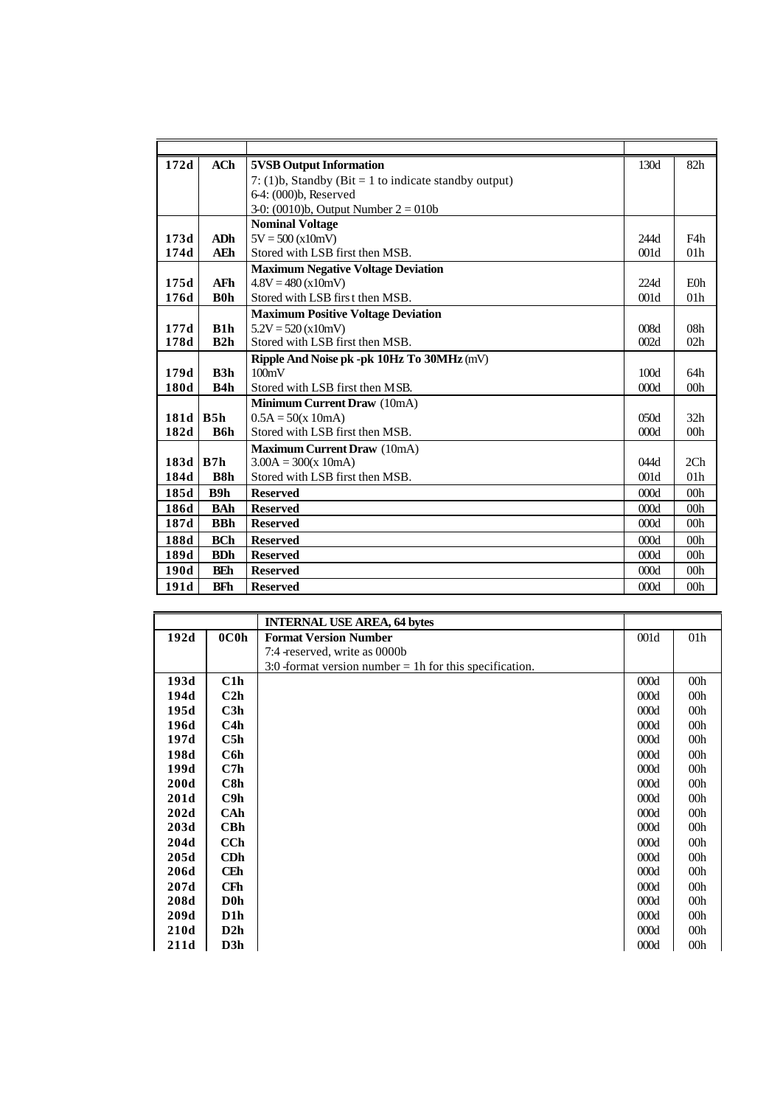| 172d | <b>ACh</b>  | <b>5VSB Output Information</b>                        | 130d | 82h             |
|------|-------------|-------------------------------------------------------|------|-----------------|
|      |             | 7: (1)b, Standby (Bit = 1 to indicate standby output) |      |                 |
|      |             | 6-4: (000)b, Reserved                                 |      |                 |
|      |             | 3-0: (0010)b, Output Number $2 = 010b$                |      |                 |
|      |             | <b>Nominal Voltage</b>                                |      |                 |
| 173d | ADh         | $5V = 500 (x10mV)$                                    | 244d | F4h             |
| 174d | <b>AEh</b>  | Stored with LSB first then MSB.                       | 001d | 01 <sub>h</sub> |
|      |             | <b>Maximum Negative Voltage Deviation</b>             |      |                 |
| 175d | <b>AFh</b>  | $4.8V = 480 (x10mV)$                                  | 224d | $E0$ h          |
| 176d | <b>B</b> 0h | Stored with LSB first then MSB.                       | 001d | 01 <sub>h</sub> |
|      |             | <b>Maximum Positive Voltage Deviation</b>             |      |                 |
| 177d | B1h         | $5.2V = 520$ (x10mV)                                  | 008d | 08 <sub>h</sub> |
| 178d | B2h         | Stored with LSB first then MSB.                       | 002d | 02h             |
|      |             | Ripple And Noise pk -pk 10Hz To 30MHz (mV)            |      |                 |
| 179d | B3h         | 100mV                                                 | 100d | 64h             |
| 180d | B4h         | Stored with LSB first then MSB.                       | 000d | 00 <sub>h</sub> |
|      |             | Minimum Current Draw (10mA)                           |      |                 |
| 181d | B5h         | $0.5A = 50(x 10mA)$                                   | 050d | 32 <sub>h</sub> |
| 182d | B6h         | Stored with LSB first then MSB.                       | 000d | 00 <sub>h</sub> |
|      |             | Maximum Current Draw (10mA)                           |      |                 |
| 183d | IB7h        | $3.00A = 300(x 10mA)$                                 | 044d | 2 <sub>Ch</sub> |
| 184d | <b>B8h</b>  | Stored with LSB first then MSB.                       | 001d | 01 <sub>h</sub> |
| 185d | B9h         | <b>Reserved</b>                                       | 000d | 00 <sub>h</sub> |
| 186d | <b>BAh</b>  | <b>Reserved</b>                                       | 000d | 00h             |
| 187d | <b>BBh</b>  | <b>Reserved</b>                                       | 000d | 00 <sub>h</sub> |
| 188d | <b>BCh</b>  | <b>Reserved</b>                                       | 000d | 00 <sub>h</sub> |
| 189d | <b>BDh</b>  | <b>Reserved</b>                                       | 000d | 00 <sub>h</sub> |
| 190d | <b>BEh</b>  | <b>Reserved</b>                                       | 000d | 00 <sub>h</sub> |
| 191d | BFh         | <b>Reserved</b>                                       | 000d | 00 <sub>h</sub> |

|      |                   | <b>INTERNAL USE AREA, 64 bytes</b>                        |      |                 |
|------|-------------------|-----------------------------------------------------------|------|-----------------|
| 192d | 0C <sub>0</sub> h | <b>Format Version Number</b>                              | 001d | 01h             |
|      |                   | 7:4 - reserved, write as 0000b                            |      |                 |
|      |                   | 3:0 -format version number $=$ 1h for this specification. |      |                 |
| 193d | C1h               |                                                           | 000d | 00 <sub>h</sub> |
| 194d | C2h               |                                                           | 000d | 00 <sub>h</sub> |
| 195d | C3h               |                                                           | 000d | 00h             |
| 196d | C4h               |                                                           | 000d | 00 <sub>h</sub> |
| 197d | C5h               |                                                           | 000d | 00 <sub>h</sub> |
| 198d | C6h               |                                                           | 000d | 00 <sub>h</sub> |
| 199d | C7h               |                                                           | 000d | 00 <sub>h</sub> |
| 200d | C8h               |                                                           | 000d | 00h             |
| 201d | C9h               |                                                           | 000d | 00 <sub>h</sub> |
| 202d | CAh               |                                                           | 000d | 00 <sub>h</sub> |
| 203d | CBh               |                                                           | 000d | 00h             |
| 204d | CC <sub>h</sub>   |                                                           | 000d | 00 <sub>h</sub> |
| 205d | CDh               |                                                           | 000d | 00 <sub>h</sub> |
| 206d | <b>CEh</b>        |                                                           | 000d | 00 <sub>h</sub> |
| 207d | <b>CFh</b>        |                                                           | 000d | 00 <sub>h</sub> |
| 208d | D <sub>0</sub> h  |                                                           | 000d | 00 <sub>h</sub> |
| 209d | D1h               |                                                           | 000d | 00 <sub>h</sub> |
| 210d | D2h               |                                                           | 000d | 00 <sub>h</sub> |
| 211d | D3h               |                                                           | 000d | 00 <sub>h</sub> |